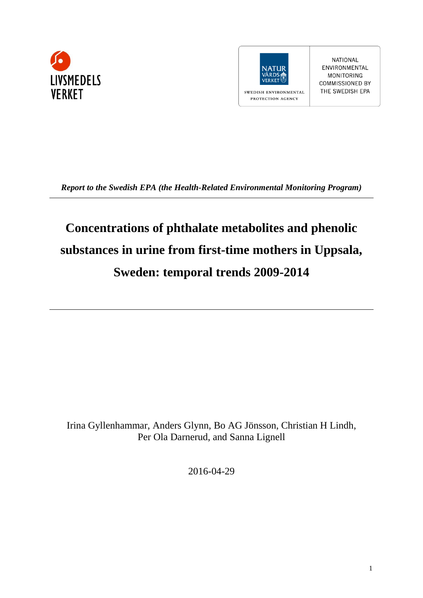



**NATIONAL** ENVIRONMENTAL MONITORING COMMISSIONED BY THE SWEDISH EPA

*Report to the Swedish EPA (the Health-Related Environmental Monitoring Program)*

# **Concentrations of phthalate metabolites and phenolic substances in urine from first-time mothers in Uppsala, Sweden: temporal trends 2009-2014**

Irina Gyllenhammar, Anders Glynn, Bo AG Jönsson, Christian H Lindh, Per Ola Darnerud, and Sanna Lignell

2016-04-29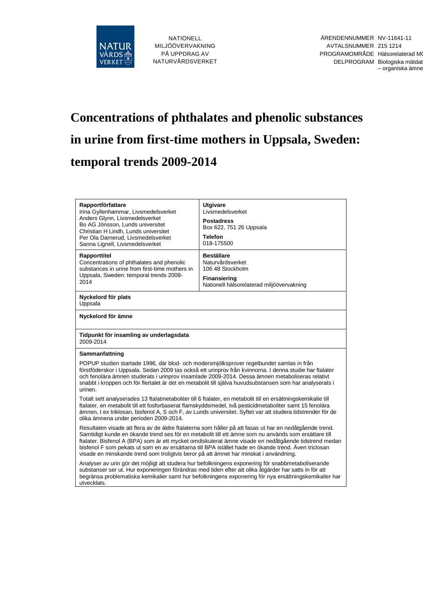

# **Concentrations of phthalates and phenolic substances in urine from first-time mothers in Uppsala, Sweden: temporal trends 2009-2014**

| Rapportförfattare<br>Irina Gyllenhammar, Livsmedelsverket<br>Anders Glynn, Livsmedelsverket<br>Bo AG Jönsson, Lunds universitet<br>Christian H Lindh, Lunds universitet<br>Per Ola Darnerud, Livsmedelsverket<br>Sanna Lignell, Livsmedelsverket                                                                                                                                                                                                                                                                         | <b>Utgivare</b><br>Livsmedelsverket<br><b>Postadress</b><br>Box 622, 751 26 Uppsala<br><b>Telefon</b><br>018-175500           |  |  |  |  |  |
|--------------------------------------------------------------------------------------------------------------------------------------------------------------------------------------------------------------------------------------------------------------------------------------------------------------------------------------------------------------------------------------------------------------------------------------------------------------------------------------------------------------------------|-------------------------------------------------------------------------------------------------------------------------------|--|--|--|--|--|
| Rapporttitel<br>Concentrations of phthalates and phenolic<br>substances in urine from first-time mothers in<br>Uppsala, Sweden: temporal trends 2009-<br>2014                                                                                                                                                                                                                                                                                                                                                            | <b>Beställare</b><br>Naturvårdsverket<br>106 48 Stockholm<br><b>Finansiering</b><br>Nationell hälsorelaterad miljöövervakning |  |  |  |  |  |
| Nyckelord för plats<br>Uppsala                                                                                                                                                                                                                                                                                                                                                                                                                                                                                           |                                                                                                                               |  |  |  |  |  |
| Nyckelord för ämne                                                                                                                                                                                                                                                                                                                                                                                                                                                                                                       |                                                                                                                               |  |  |  |  |  |
| Tidpunkt för insamling av underlagsdata<br>2009-2014                                                                                                                                                                                                                                                                                                                                                                                                                                                                     |                                                                                                                               |  |  |  |  |  |
| Sammanfattning                                                                                                                                                                                                                                                                                                                                                                                                                                                                                                           |                                                                                                                               |  |  |  |  |  |
| POPUP studien startade 1996, där blod- och modersmiölksprover regelbundet samlas in från<br>förstföderskor i Uppsala. Sedan 2009 tas också ett urinprov från kvinnorna. I denna studie har ftalater<br>och fenolära ämnen studerats i urinprov insamlade 2009-2014. Dessa ämnen metaboliseras relativt<br>snabbt i kroppen och för flertalet är det en metabolit till själva huvudsubstansen som har analyserats i<br>urinen.                                                                                            |                                                                                                                               |  |  |  |  |  |
| Totalt sett analyserades 13 ftalatmetaboliter till 6 ftalater, en metabolit till en ersättningskemikalie till<br>ftalater, en metabolit till ett fosforbaserat flamskyddsmedel, två pesticidmetaboliter samt 15 fenolära<br>ämnen, t ex triklosan, bisfenol A, S och F, av Lunds universitet. Syftet var att studera tidstrender för de<br>olika ämnena under perioden 2009-2014.                                                                                                                                        |                                                                                                                               |  |  |  |  |  |
| Resultaten visade att flera av de äldre ftalaterna som håller på att fasas ut har en nedåtgående trend.<br>Samtidigt kunde en ökande trend ses för en metabolit till ett ämne som nu används som ersättare till<br>ftalater. Bisfenol A (BPA) som är ett mycket omdiskuterat ämne visade en nedåtgående tidstrend medan<br>bisfenol F som pekats ut som en av ersättarna till BPA istället hade en ökande trend. Även triclosan<br>visade en minskande trend som troligtvis beror på att ämnet har minskat i användning. |                                                                                                                               |  |  |  |  |  |
| Analyser av urin gör det möjligt att studera hur befolkningens exponering för snabbmetaboliserande<br>substanser ser ut. Hur exponeringen förändras med tiden efter att olika åtgärder har satts in för att<br>begränsa problematiska kemikalier samt hur befolkningens exponering för nya ersättningskemikalier har<br>utvecklats.                                                                                                                                                                                      |                                                                                                                               |  |  |  |  |  |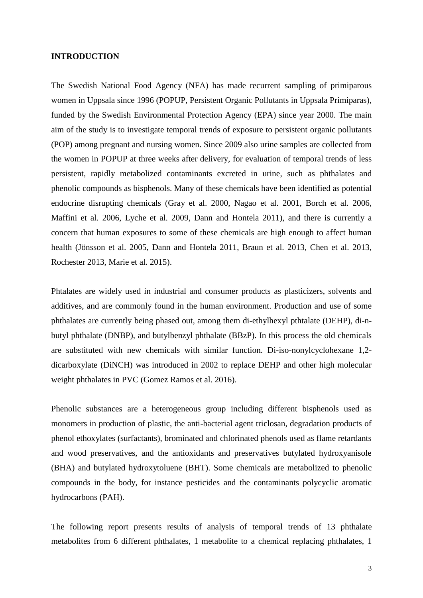#### **INTRODUCTION**

The Swedish National Food Agency (NFA) has made recurrent sampling of primiparous women in Uppsala since 1996 (POPUP, Persistent Organic Pollutants in Uppsala Primiparas), funded by the Swedish Environmental Protection Agency (EPA) since year 2000. The main aim of the study is to investigate temporal trends of exposure to persistent organic pollutants (POP) among pregnant and nursing women. Since 2009 also urine samples are collected from the women in POPUP at three weeks after delivery, for evaluation of temporal trends of less persistent, rapidly metabolized contaminants excreted in urine, such as phthalates and phenolic compounds as bisphenols. Many of these chemicals have been identified as potential endocrine disrupting chemicals [\(Gray et al. 2000,](#page-17-0) [Nagao et al. 2001,](#page-18-0) [Borch et al. 2006,](#page-16-0) [Maffini et al. 2006,](#page-18-1) [Lyche et al. 2009,](#page-18-2) [Dann and Hontela 2011\)](#page-17-1), and there is currently a concern that human exposures to some of these chemicals are high enough to affect human health [\(Jönsson et al. 2005,](#page-17-2) [Dann and Hontela 2011,](#page-17-1) [Braun et al. 2013,](#page-16-1) [Chen et al. 2013,](#page-16-2) [Rochester 2013,](#page-18-3) [Marie et al. 2015\)](#page-18-4).

Phtalates are widely used in industrial and consumer products as plasticizers, solvents and additives, and are commonly found in the human environment. Production and use of some phthalates are currently being phased out, among them di-ethylhexyl pthtalate (DEHP), di-nbutyl phthalate (DNBP), and butylbenzyl phthalate (BBzP). In this process the old chemicals are substituted with new chemicals with similar function. Di-iso-nonylcyclohexane 1,2 dicarboxylate (DiNCH) was introduced in 2002 to replace DEHP and other high molecular weight phthalates in PVC [\(Gomez Ramos et al. 2016\)](#page-17-3).

Phenolic substances are a heterogeneous group including different bisphenols used as monomers in production of plastic, the anti-bacterial agent triclosan, degradation products of phenol ethoxylates (surfactants), brominated and chlorinated phenols used as flame retardants and wood preservatives, and the antioxidants and preservatives butylated hydroxyanisole (BHA) and butylated hydroxytoluene (BHT). Some chemicals are metabolized to phenolic compounds in the body, for instance pesticides and the contaminants polycyclic aromatic hydrocarbons (PAH).

The following report presents results of analysis of temporal trends of 13 phthalate metabolites from 6 different phthalates, 1 metabolite to a chemical replacing phthalates, 1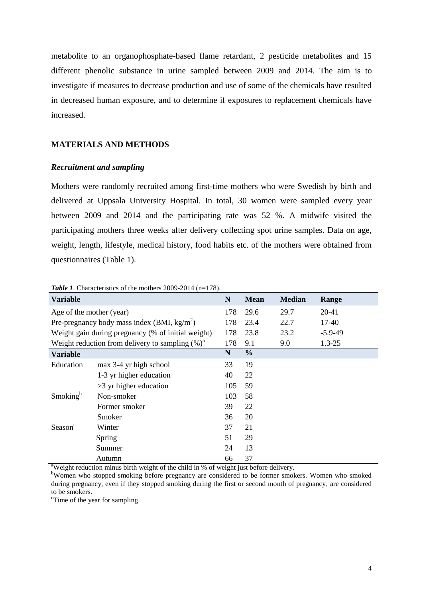metabolite to an organophosphate-based flame retardant, 2 pesticide metabolites and 15 different phenolic substance in urine sampled between 2009 and 2014. The aim is to investigate if measures to decrease production and use of some of the chemicals have resulted in decreased human exposure, and to determine if exposures to replacement chemicals have increased.

## **MATERIALS AND METHODS**

#### *Recruitment and sampling*

Mothers were randomly recruited among first-time mothers who were Swedish by birth and delivered at Uppsala University Hospital. In total, 30 women were sampled every year between 2009 and 2014 and the participating rate was 52 %. A midwife visited the participating mothers three weeks after delivery collecting spot urine samples. Data on age, weight, length, lifestyle, medical history, food habits etc. of the mothers were obtained from questionnaires (Table 1).

| <b>Variable</b>          |                                                       | N   | <b>Mean</b>   | <b>Median</b> | Range      |
|--------------------------|-------------------------------------------------------|-----|---------------|---------------|------------|
| Age of the mother (year) |                                                       |     | 29.6          | 29.7          | 20-41      |
|                          | Pre-pregnancy body mass index (BMI, $\text{kg/m}^2$ ) | 178 | 23.4          | 22.7          | 17-40      |
|                          | Weight gain during pregnancy (% of initial weight)    | 178 | 23.8          | 23.2          | $-5.9-49$  |
|                          | Weight reduction from delivery to sampling $(\%)^a$   | 178 | 9.1           | 9.0           | $1.3 - 25$ |
| <b>Variable</b>          |                                                       | N   | $\frac{0}{0}$ |               |            |
| Education                | max 3-4 yr high school                                | 33  | 19            |               |            |
|                          | 1-3 yr higher education                               | 40  | 22            |               |            |
|                          | $>3$ yr higher education                              | 105 | 59            |               |            |
| Smoking <sup>b</sup>     | Non-smoker                                            | 103 | 58            |               |            |
|                          | Former smoker                                         | 39  | 22            |               |            |
|                          | Smoker                                                | 36  | 20            |               |            |
| Season <sup>c</sup>      | Winter                                                | 37  | 21            |               |            |
|                          | Spring                                                | 51  | 29            |               |            |
|                          | Summer                                                | 24  | 13            |               |            |
|                          | Autumn                                                | 66  | 37            |               |            |

*Table 1*. Characteristics of the mothers 2009-2014 (n=178).

<sup>a</sup>Weight reduction minus birth weight of the child in % of weight just before delivery.

bWomen who stopped smoking before pregnancy are considered to be former smokers. Women who smoked during pregnancy, even if they stopped smoking during the first or second month of pregnancy, are considered to be smokers.

<sup>c</sup>Time of the year for sampling.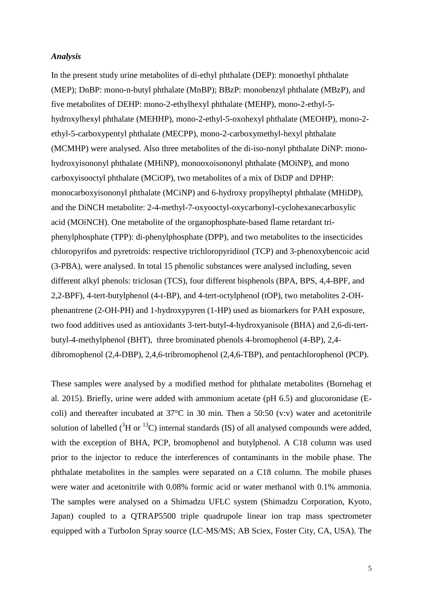#### *Analysis*

In the present study urine metabolites of di-ethyl phthalate (DEP): monoethyl phthalate (MEP); DnBP: mono-n-butyl phthalate (MnBP); BBzP: monobenzyl phthalate (MBzP), and five metabolites of DEHP: mono-2-ethylhexyl phthalate (MEHP), mono-2-ethyl-5 hydroxylhexyl phthalate (MEHHP), mono-2-ethyl-5-oxohexyl phthalate (MEOHP), mono-2 ethyl-5-carboxypentyl phthalate (MECPP), mono-2-carboxymethyl-hexyl phthalate (MCMHP) were analysed. Also three metabolites of the di-iso-nonyl phthalate DiNP: monohydroxyisononyl phthalate (MHiNP), monooxoisononyl phthalate (MOiNP), and mono carboxyisooctyl phthalate (MCiOP), two metabolites of a mix of DiDP and DPHP: monocarboxyisononyl phthalate (MCiNP) and 6-hydroxy propylheptyl phthalate (MHiDP), and the DiNCH metabolite: 2-4-methyl-7-oxyooctyl-oxycarbonyl-cyclohexanecarboxylic acid (MOiNCH). One metabolite of the organophosphate-based flame retardant triphenylphosphate (TPP): di-phenylphosphate (DPP), and two metabolites to the insecticides chloropyrifos and pyretroids: respective trichloropyridinol (TCP) and 3-phenoxybencoic acid (3-PBA), were analysed. In total 15 phenolic substances were analysed including, seven different alkyl phenols: triclosan (TCS), four different bisphenols (BPA, BPS, 4,4-BPF, and 2,2-BPF), 4-tert-butylphenol (4-t-BP), and 4-tert-octylphenol (tOP), two metabolites 2-OHphenantrene (2-OH-PH) and 1-hydroxypyren (1-HP) used as biomarkers for PAH exposure, two food additives used as antioxidants 3-tert-butyl-4-hydroxyanisole (BHA) and 2,6-di-tertbutyl-4-methylphenol (BHT), three brominated phenols 4-bromophenol (4-BP), 2,4 dibromophenol (2,4-DBP), 2,4,6-tribromophenol (2,4,6-TBP), and pentachlorophenol (PCP).

These samples were analysed by a modified method for phthalate metabolites [\(Bornehag et](#page-16-3)  [al. 2015\)](#page-16-3). Briefly, urine were added with ammonium acetate (pH 6.5) and glucoronidase (Ecoli) and thereafter incubated at 37°C in 30 min. Then a 50:50 (v:v) water and acetonitrile solution of labelled  $({}^{3}H$  or  $^{13}C$ ) internal standards (IS) of all analysed compounds were added, with the exception of BHA, PCP, bromophenol and butylphenol. A C18 column was used prior to the injector to reduce the interferences of contaminants in the mobile phase. The phthalate metabolites in the samples were separated on a C18 column. The mobile phases were water and acetonitrile with 0.08% formic acid or water methanol with 0.1% ammonia. The samples were analysed on a Shimadzu UFLC system (Shimadzu Corporation, Kyoto, Japan) coupled to a QTRAP5500 triple quadrupole linear ion trap mass spectrometer equipped with a TurboIon Spray source (LC-MS/MS; AB Sciex, Foster City, CA, USA). The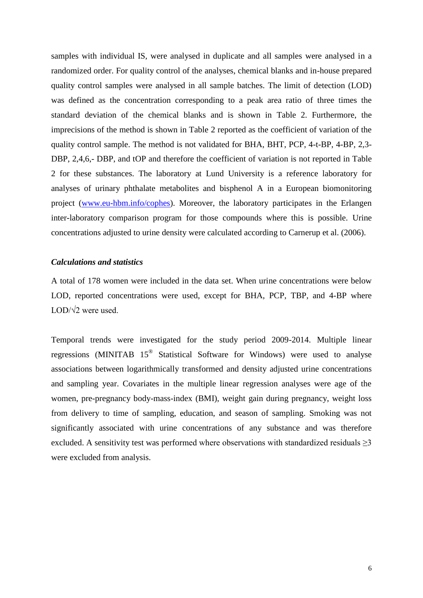samples with individual IS, were analysed in duplicate and all samples were analysed in a randomized order. For quality control of the analyses, chemical blanks and in-house prepared quality control samples were analysed in all sample batches. The limit of detection (LOD) was defined as the concentration corresponding to a peak area ratio of three times the standard deviation of the chemical blanks and is shown in Table 2. Furthermore, the imprecisions of the method is shown in Table 2 reported as the coefficient of variation of the quality control sample. The method is not validated for BHA, BHT, PCP, 4-t-BP, 4-BP, 2,3- DBP, 2,4,6,- DBP, and tOP and therefore the coefficient of variation is not reported in Table 2 for these substances. The laboratory at Lund University is a reference laboratory for analyses of urinary phthalate metabolites and bisphenol A in a European biomonitoring project [\(www.eu-hbm.info/cophes\)](http://www.eu-hbm.info/cophes). Moreover, the laboratory participates in the Erlangen inter-laboratory comparison program for those compounds where this is possible. Urine concentrations adjusted to urine density were calculated according to Carnerup et al. [\(2006\)](#page-16-4).

# *Calculations and statistics*

A total of 178 women were included in the data set. When urine concentrations were below LOD, reported concentrations were used, except for BHA, PCP, TBP, and 4-BP where LOD/ $\sqrt{2}$  were used.

Temporal trends were investigated for the study period 2009-2014. Multiple linear regressions (MINITAB  $15^{\circledR}$  Statistical Software for Windows) were used to analyse associations between logarithmically transformed and density adjusted urine concentrations and sampling year. Covariates in the multiple linear regression analyses were age of the women, pre-pregnancy body-mass-index (BMI), weight gain during pregnancy, weight loss from delivery to time of sampling, education, and season of sampling. Smoking was not significantly associated with urine concentrations of any substance and was therefore excluded. A sensitivity test was performed where observations with standardized residuals  $\geq 3$ were excluded from analysis.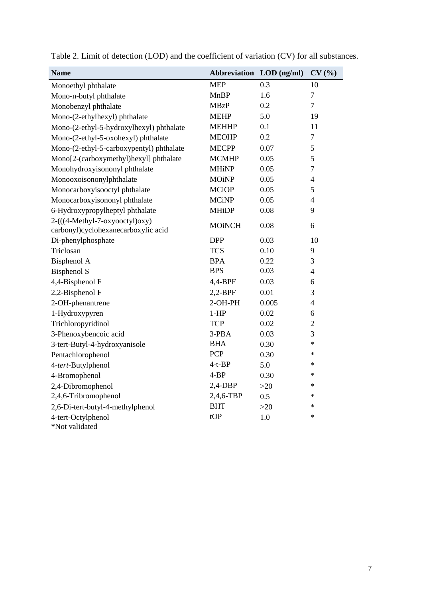| <b>Name</b>                                                           | Abbreviation LOD (ng/ml) |       | CV(%)          |
|-----------------------------------------------------------------------|--------------------------|-------|----------------|
| Monoethyl phthalate                                                   | <b>MEP</b>               | 0.3   | 10             |
| Mono-n-butyl phthalate                                                | <b>MnBP</b>              | 1.6   | $\overline{7}$ |
| Monobenzyl phthalate                                                  | <b>MBzP</b>              | 0.2   | $\overline{7}$ |
| Mono-(2-ethylhexyl) phthalate                                         | <b>MEHP</b>              | 5.0   | 19             |
| Mono-(2-ethyl-5-hydroxylhexyl) phthalate                              | <b>MEHHP</b>             | 0.1   | 11             |
| Mono-(2-ethyl-5-oxohexyl) phthalate                                   | <b>MEOHP</b>             | 0.2   | $\tau$         |
| Mono-(2-ethyl-5-carboxypentyl) phthalate                              | <b>MECPP</b>             | 0.07  | 5              |
| Mono[2-(carboxymethyl)hexyl] phthalate                                | <b>MCMHP</b>             | 0.05  | 5              |
| Monohydroxyisononyl phthalate                                         | <b>MHiNP</b>             | 0.05  | $\overline{7}$ |
| Monooxoisononylphthalate                                              | <b>MOiNP</b>             | 0.05  | $\overline{4}$ |
| Monocarboxyisooctyl phthalate                                         | <b>MCiOP</b>             | 0.05  | 5              |
| Monocarboxyisononyl phthalate                                         | <b>MCiNP</b>             | 0.05  | $\overline{4}$ |
| 6-Hydroxypropylheptyl phthalate                                       | <b>MHiDP</b>             | 0.08  | 9              |
| 2-(((4-Methyl-7-oxyooctyl)oxy)<br>carbonyl)cyclohexanecarboxylic acid | <b>MOINCH</b>            | 0.08  | 6              |
| Di-phenylphosphate                                                    | <b>DPP</b>               | 0.03  | 10             |
| Triclosan                                                             | <b>TCS</b>               | 0.10  | 9              |
| <b>Bisphenol A</b>                                                    | <b>BPA</b>               | 0.22  | 3              |
| <b>Bisphenol S</b>                                                    | <b>BPS</b>               | 0.03  | $\overline{4}$ |
| 4,4-Bisphenol F                                                       | 4,4-BPF                  | 0.03  | 6              |
| 2,2-Bisphenol F                                                       | $2,2-BPF$                | 0.01  | 3              |
| 2-OH-phenantrene                                                      | 2-OH-PH                  | 0.005 | $\overline{4}$ |
| 1-Hydroxypyren                                                        | $1-HP$                   | 0.02  | 6              |
| Trichloropyridinol                                                    | <b>TCP</b>               | 0.02  | $\overline{2}$ |
| 3-Phenoxybencoic acid                                                 | 3-PBA                    | 0.03  | 3              |
| 3-tert-Butyl-4-hydroxyanisole                                         | <b>BHA</b>               | 0.30  | $\ast$         |
| Pentachlorophenol                                                     | <b>PCP</b>               | 0.30  | ∗              |
| 4-tert-Butylphenol                                                    | $4-t-BP$                 | 5.0   | $\ast$         |
| 4-Bromophenol                                                         | $4-BP$                   | 0.30  | $\ast$         |
| 2,4-Dibromophenol                                                     | $2,4-DBP$                | $>20$ | ∗              |
| 2,4,6-Tribromophenol                                                  | 2,4,6-TBP                | 0.5   | $\ast$         |
| 2,6-Di-tert-butyl-4-methylphenol                                      | <b>BHT</b>               | $>20$ | ∗              |
| 4-tert-Octylphenol<br>$*$ Not validated                               | tOP                      | 1.0   | ∗              |

Table 2. Limit of detection (LOD) and the coefficient of variation (CV) for all substances.

\*Not validated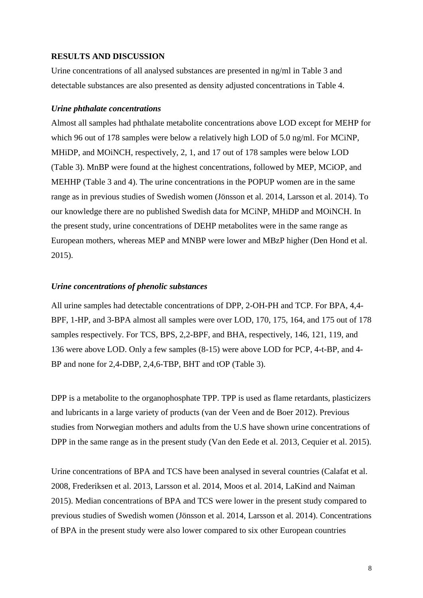#### **RESULTS AND DISCUSSION**

Urine concentrations of all analysed substances are presented in ng/ml in Table 3 and detectable substances are also presented as density adjusted concentrations in Table 4.

#### *Urine phthalate concentrations*

Almost all samples had phthalate metabolite concentrations above LOD except for MEHP for which 96 out of 178 samples were below a relatively high LOD of 5.0 ng/ml. For MCiNP, MHiDP, and MOiNCH, respectively, 2, 1, and 17 out of 178 samples were below LOD (Table 3). MnBP were found at the highest concentrations, followed by MEP, MCiOP, and MEHHP (Table 3 and 4). The urine concentrations in the POPUP women are in the same range as in previous studies of Swedish women [\(Jönsson et al. 2014,](#page-17-4) [Larsson et al. 2014\)](#page-18-5). To our knowledge there are no published Swedish data for MCiNP, MHiDP and MOiNCH. In the present study, urine concentrations of DEHP metabolites were in the same range as European mothers, whereas MEP and MNBP were lower and MBzP higher [\(Den Hond et al.](#page-17-5)  [2015\)](#page-17-5).

#### *Urine concentrations of phenolic substances*

All urine samples had detectable concentrations of DPP, 2-OH-PH and TCP. For BPA, 4,4- BPF, 1-HP, and 3-BPA almost all samples were over LOD, 170, 175, 164, and 175 out of 178 samples respectively. For TCS, BPS, 2,2-BPF, and BHA, respectively, 146, 121, 119, and 136 were above LOD. Only a few samples (8-15) were above LOD for PCP, 4-t-BP, and 4- BP and none for 2,4-DBP, 2,4,6-TBP, BHT and tOP (Table 3).

DPP is a metabolite to the organophosphate TPP. TPP is used as flame retardants, plasticizers and lubricants in a large variety of products [\(van der Veen and de Boer 2012\)](#page-18-6). Previous studies from Norwegian mothers and adults from the U.S have shown urine concentrations of DPP in the same range as in the present study [\(Van den Eede et al. 2013,](#page-18-7) [Cequier et al. 2015\)](#page-16-5).

Urine concentrations of BPA and TCS have been analysed in several countries [\(Calafat et al.](#page-16-6)  [2008,](#page-16-6) [Frederiksen et al. 2013,](#page-17-6) [Larsson et al. 2014,](#page-18-5) [Moos et al. 2014,](#page-18-8) [LaKind and Naiman](#page-17-7)  [2015\)](#page-17-7). Median concentrations of BPA and TCS were lower in the present study compared to previous studies of Swedish women [\(Jönsson et al. 2014,](#page-17-4) [Larsson et al. 2014\)](#page-18-5). Concentrations of BPA in the present study were also lower compared to six other European countries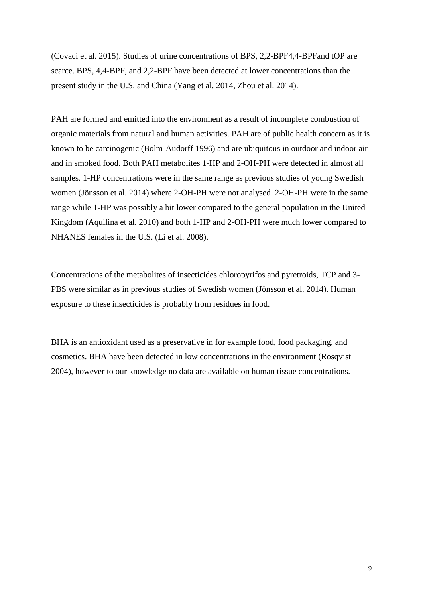[\(Covaci et al. 2015\)](#page-16-7). Studies of urine concentrations of BPS, 2,2-BPF4,4-BPFand tOP are scarce. BPS, 4,4-BPF, and 2,2-BPF have been detected at lower concentrations than the present study in the U.S. and China [\(Yang et al. 2014,](#page-18-9) [Zhou et al. 2014\)](#page-18-10).

PAH are formed and emitted into the environment as a result of incomplete combustion of organic materials from natural and human activities. PAH are of public health concern as it is known to be carcinogenic [\(Bolm-Audorff 1996\)](#page-16-8) and are ubiquitous in outdoor and indoor air and in smoked food. Both PAH metabolites 1-HP and 2-OH-PH were detected in almost all samples. 1-HP concentrations were in the same range as previous studies of young Swedish women [\(Jönsson et al. 2014\)](#page-17-4) where 2-OH-PH were not analysed. 2-OH-PH were in the same range while 1-HP was possibly a bit lower compared to the general population in the United Kingdom [\(Aquilina et al. 2010\)](#page-16-9) and both 1-HP and 2-OH-PH were much lower compared to NHANES females in the U.S. [\(Li et al. 2008\)](#page-18-11).

Concentrations of the metabolites of insecticides chloropyrifos and pyretroids, TCP and 3- PBS were similar as in previous studies of Swedish women [\(Jönsson et al. 2014\)](#page-17-4). Human exposure to these insecticides is probably from residues in food.

BHA is an antioxidant used as a preservative in for example food, food packaging, and cosmetics. BHA have been detected in low concentrations in the environment [\(Rosqvist](#page-18-12)  [2004\)](#page-18-12), however to our knowledge no data are available on human tissue concentrations.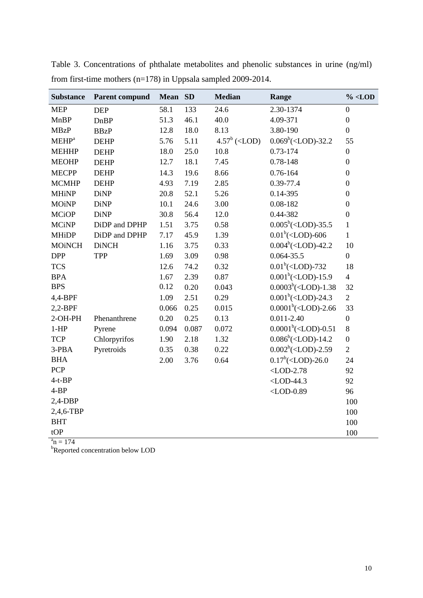| <b>Substance</b> | <b>Parent compund</b> | Mean SD |       | <b>Median</b>                                                                                            | Range                                                                           | $\%$ <lod< th=""></lod<> |
|------------------|-----------------------|---------|-------|----------------------------------------------------------------------------------------------------------|---------------------------------------------------------------------------------|--------------------------|
| <b>MEP</b>       | <b>DEP</b>            | 58.1    | 133   | 24.6                                                                                                     | 2.30-1374                                                                       | $\boldsymbol{0}$         |
| <b>MnBP</b>      | DnBP                  | 51.3    | 46.1  | 40.0                                                                                                     | 4.09-371                                                                        | $\boldsymbol{0}$         |
| <b>MBzP</b>      | <b>BBzP</b>           | 12.8    | 18.0  | 8.13                                                                                                     | 3.80-190                                                                        | $\boldsymbol{0}$         |
| $MEHP^a$         | <b>DEHP</b>           | 5.76    | 5.11  | $4.57^b$ ( <lod)< td=""><td><math>0.069^b</math>(<lod)-32.2< td=""><td>55</td></lod)-32.2<></td></lod)<> | $0.069^b$ ( <lod)-32.2< td=""><td>55</td></lod)-32.2<>                          | 55                       |
| <b>MEHHP</b>     | <b>DEHP</b>           | 18.0    | 25.0  | 10.8                                                                                                     | 0.73-174                                                                        | $\boldsymbol{0}$         |
| <b>MEOHP</b>     | <b>DEHP</b>           | 12.7    | 18.1  | 7.45                                                                                                     | 0.78-148                                                                        | $\boldsymbol{0}$         |
| <b>MECPP</b>     | <b>DEHP</b>           | 14.3    | 19.6  | 8.66                                                                                                     | 0.76-164                                                                        | $\boldsymbol{0}$         |
| <b>MCMHP</b>     | <b>DEHP</b>           | 4.93    | 7.19  | 2.85                                                                                                     | 0.39-77.4                                                                       | $\mathbf{0}$             |
| <b>MHiNP</b>     | <b>DiNP</b>           | 20.8    | 52.1  | 5.26                                                                                                     | 0.14-395                                                                        | $\boldsymbol{0}$         |
| <b>MOiNP</b>     | <b>DiNP</b>           | 10.1    | 24.6  | 3.00                                                                                                     | 0.08-182                                                                        | $\boldsymbol{0}$         |
| <b>MCiOP</b>     | <b>DiNP</b>           | 30.8    | 56.4  | 12.0                                                                                                     | 0.44-382                                                                        | $\boldsymbol{0}$         |
| <b>MCiNP</b>     | DiDP and DPHP         | 1.51    | 3.75  | 0.58                                                                                                     | $0.005^b$ ( <lod)-35.5< td=""><td><math>\mathbf{1}</math></td></lod)-35.5<>     | $\mathbf{1}$             |
| <b>MHiDP</b>     | DiDP and DPHP         | 7.17    | 45.9  | 1.39                                                                                                     | $0.01^b$ ( <lod)-606< td=""><td><math>\mathbf{1}</math></td></lod)-606<>        | $\mathbf{1}$             |
| <b>MOiNCH</b>    | <b>DiNCH</b>          | 1.16    | 3.75  | 0.33                                                                                                     | $0.004^b(<$ LOD)-42.2                                                           | 10                       |
| <b>DPP</b>       | TPP                   | 1.69    | 3.09  | 0.98                                                                                                     | $0.064 - 35.5$                                                                  | $\overline{0}$           |
| <b>TCS</b>       |                       | 12.6    | 74.2  | 0.32                                                                                                     | $0.01^b(<$ LOD)-732                                                             | 18                       |
| <b>BPA</b>       |                       | 1.67    | 2.39  | 0.87                                                                                                     | $0.001^b$ ( <lod)-15.9< td=""><td><math>\overline{4}</math></td></lod)-15.9<>   | $\overline{4}$           |
| <b>BPS</b>       |                       | 0.12    | 0.20  | 0.043                                                                                                    | $0.0003^b$ ( <lod)-1.38< td=""><td>32</td></lod)-1.38<>                         | 32                       |
| 4,4-BPF          |                       | 1.09    | 2.51  | 0.29                                                                                                     | $0.001^b$ ( <lod)-24.3< td=""><td><math>\overline{2}</math></td></lod)-24.3<>   | $\overline{2}$           |
| $2,2$ -BPF       |                       | 0.066   | 0.25  | 0.015                                                                                                    | $0.0001^b(<$ LOD)-2.66                                                          | 33                       |
| 2-OH-PH          | Phenanthrene          | 0.20    | 0.25  | 0.13                                                                                                     | $0.011 - 2.40$                                                                  | $\boldsymbol{0}$         |
| $1-HP$           | Pyrene                | 0.094   | 0.087 | 0.072                                                                                                    | $0.0001^b(<$ LOD)-0.51                                                          | 8                        |
| <b>TCP</b>       | Chlorpyrifos          | 1.90    | 2.18  | 1.32                                                                                                     | $0.086^b$ ( <lod)-14.2< td=""><td><math>\boldsymbol{0}</math></td></lod)-14.2<> | $\boldsymbol{0}$         |
| 3-PBA            | Pyretroids            | 0.35    | 0.38  | 0.22                                                                                                     | $0.002^b$ ( <lod)-2.59< td=""><td><math>\overline{2}</math></td></lod)-2.59<>   | $\overline{2}$           |
| <b>BHA</b>       |                       | 2.00    | 3.76  | 0.64                                                                                                     | $0.17^b$ ( <lod)-26.0< td=""><td>24</td></lod)-26.0<>                           | 24                       |
| PCP              |                       |         |       |                                                                                                          | $<$ LOD-2.78                                                                    | 92                       |
| $4-t-BP$         |                       |         |       |                                                                                                          | $<$ LOD-44.3                                                                    | 92                       |
| $4 - BP$         |                       |         |       |                                                                                                          | $<$ LOD-0.89                                                                    | 96                       |
| $2,4$ -DBP       |                       |         |       |                                                                                                          |                                                                                 | 100                      |
| 2,4,6-TBP        |                       |         |       |                                                                                                          |                                                                                 | 100                      |
| <b>BHT</b>       |                       |         |       |                                                                                                          |                                                                                 | 100                      |
| tOP              |                       |         |       |                                                                                                          |                                                                                 | 100                      |

Table 3. Concentrations of phthalate metabolites and phenolic substances in urine (ng/ml) from first-time mothers (n=178) in Uppsala sampled 2009-2014.

 $a_n = 174$ 

 $b^b$ Reported concentration below LOD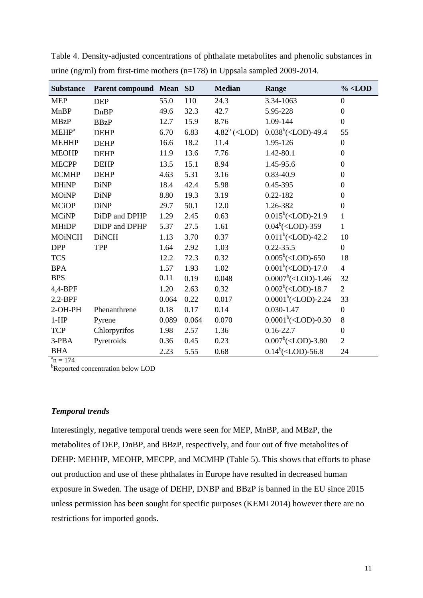| <b>Substance</b>         | <b>Parent compound Mean</b> |       | <b>SD</b> | <b>Median</b>                                                                                            | Range                                                                         | $\%$ <lod< th=""></lod<> |
|--------------------------|-----------------------------|-------|-----------|----------------------------------------------------------------------------------------------------------|-------------------------------------------------------------------------------|--------------------------|
| <b>MEP</b>               | <b>DEP</b>                  | 55.0  | 110       | 24.3                                                                                                     | 3.34-1063                                                                     | $\boldsymbol{0}$         |
| MnBP                     | <b>DnBP</b>                 | 49.6  | 32.3      | 42.7                                                                                                     | 5.95-228                                                                      | $\boldsymbol{0}$         |
| <b>MBzP</b>              | <b>BBzP</b>                 | 12.7  | 15.9      | 8.76                                                                                                     | 1.09-144                                                                      | $\boldsymbol{0}$         |
| <b>MEHP</b> <sup>a</sup> | <b>DEHP</b>                 | 6.70  | 6.83      | $4.82^b$ ( <lod)< td=""><td><math>0.038^b</math>(<lod)-49.4< td=""><td>55</td></lod)-49.4<></td></lod)<> | $0.038^b$ ( <lod)-49.4< td=""><td>55</td></lod)-49.4<>                        | 55                       |
| <b>MEHHP</b>             | <b>DEHP</b>                 | 16.6  | 18.2      | 11.4                                                                                                     | 1.95-126                                                                      | $\boldsymbol{0}$         |
| <b>MEOHP</b>             | <b>DEHP</b>                 | 11.9  | 13.6      | 7.76                                                                                                     | 1.42-80.1                                                                     | $\boldsymbol{0}$         |
| <b>MECPP</b>             | <b>DEHP</b>                 | 13.5  | 15.1      | 8.94                                                                                                     | 1.45-95.6                                                                     | $\boldsymbol{0}$         |
| <b>MCMHP</b>             | <b>DEHP</b>                 | 4.63  | 5.31      | 3.16                                                                                                     | 0.83-40.9                                                                     | $\mathbf{0}$             |
| <b>MHiNP</b>             | <b>DiNP</b>                 | 18.4  | 42.4      | 5.98                                                                                                     | 0.45-395                                                                      | $\boldsymbol{0}$         |
| <b>MOiNP</b>             | <b>DiNP</b>                 | 8.80  | 19.3      | 3.19                                                                                                     | $0.22 - 182$                                                                  | $\overline{0}$           |
| <b>MCiOP</b>             | <b>DiNP</b>                 | 29.7  | 50.1      | 12.0                                                                                                     | 1.26-382                                                                      | $\boldsymbol{0}$         |
| <b>MCiNP</b>             | DiDP and DPHP               | 1.29  | 2.45      | 0.63                                                                                                     | $0.015^b$ ( <lod)-21.9< td=""><td><math>\mathbf{1}</math></td></lod)-21.9<>   | $\mathbf{1}$             |
| <b>MHiDP</b>             | DiDP and DPHP               | 5.37  | 27.5      | 1.61                                                                                                     | $0.04^b$ ( <lod)-359< td=""><td><math>\mathbf{1}</math></td></lod)-359<>      | $\mathbf{1}$             |
| <b>MOiNCH</b>            | <b>DiNCH</b>                | 1.13  | 3.70      | 0.37                                                                                                     | $0.011^b$ ( <lod)-42.2< td=""><td>10</td></lod)-42.2<>                        | 10                       |
| <b>DPP</b>               | <b>TPP</b>                  | 1.64  | 2.92      | 1.03                                                                                                     | $0.22 - 35.5$                                                                 | $\boldsymbol{0}$         |
| <b>TCS</b>               |                             | 12.2  | 72.3      | 0.32                                                                                                     | $0.005^b$ ( <lod)-650< td=""><td>18</td></lod)-650<>                          | 18                       |
| <b>BPA</b>               |                             | 1.57  | 1.93      | 1.02                                                                                                     | $0.001^b$ ( <lod)-17.0< td=""><td><math>\overline{4}</math></td></lod)-17.0<> | $\overline{4}$           |
| <b>BPS</b>               |                             | 0.11  | 0.19      | 0.048                                                                                                    | $0.0007^b$ ( <lod)-1.46< td=""><td>32</td></lod)-1.46<>                       | 32                       |
| 4,4-BPF                  |                             | 1.20  | 2.63      | 0.32                                                                                                     | $0.002^b$ ( <lod)-18.7< td=""><td><math>\overline{2}</math></td></lod)-18.7<> | $\overline{2}$           |
| $2,2-BPF$                |                             | 0.064 | 0.22      | 0.017                                                                                                    | $0.0001^b(<$ LOD)-2.24                                                        | 33                       |
| 2-OH-PH                  | Phenanthrene                | 0.18  | 0.17      | 0.14                                                                                                     | $0.030 - 1.47$                                                                | $\boldsymbol{0}$         |
| $1-HP$                   | Pyrene                      | 0.089 | 0.064     | 0.070                                                                                                    | $0.0001^b(<$ LOD)-0.30                                                        | $8\,$                    |
| <b>TCP</b>               | Chlorpyrifos                | 1.98  | 2.57      | 1.36                                                                                                     | $0.16 - 22.7$                                                                 | $\boldsymbol{0}$         |
| 3-PBA                    | Pyretroids                  | 0.36  | 0.45      | 0.23                                                                                                     | $0.007^b(<$ LOD)-3.80                                                         | $\overline{2}$           |
| <b>BHA</b>               |                             | 2.23  | 5.55      | 0.68                                                                                                     | $0.14^b$ ( <lod)-56.8< td=""><td>24</td></lod)-56.8<>                         | 24                       |

Table 4. Density-adjusted concentrations of phthalate metabolites and phenolic substances in urine (ng/ml) from first-time mothers (n=178) in Uppsala sampled 2009-2014.

 $a_n = 174$ 

**b**Reported concentration below LOD

# *Temporal trends*

Interestingly, negative temporal trends were seen for MEP, MnBP, and MBzP, the metabolites of DEP, DnBP, and BBzP, respectively, and four out of five metabolites of DEHP: MEHHP, MEOHP, MECPP, and MCMHP (Table 5). This shows that efforts to phase out production and use of these phthalates in Europe have resulted in decreased human exposure in Sweden. The usage of DEHP, DNBP and BBzP is banned in the EU since 2015 unless permission has been sought for specific purposes [\(KEMI 2014\)](#page-17-8) however there are no restrictions for imported goods.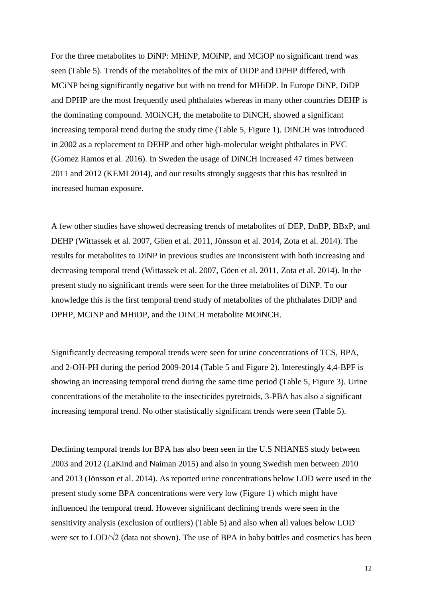For the three metabolites to DiNP: MHiNP, MOiNP, and MCiOP no significant trend was seen (Table 5). Trends of the metabolites of the mix of DiDP and DPHP differed, with MCiNP being significantly negative but with no trend for MHiDP. In Europe DiNP, DiDP and DPHP are the most frequently used phthalates whereas in many other countries DEHP is the dominating compound. MOiNCH, the metabolite to DiNCH, showed a significant increasing temporal trend during the study time (Table 5, Figure 1). DiNCH was introduced in 2002 as a replacement to DEHP and other high-molecular weight phthalates in PVC [\(Gomez Ramos et al. 2016\)](#page-17-3). In Sweden the usage of DiNCH increased 47 times between 2011 and 2012 [\(KEMI 2014\)](#page-17-8), and our results strongly suggests that this has resulted in increased human exposure.

A few other studies have showed decreasing trends of metabolites of DEP, DnBP, BBxP, and DEHP [\(Wittassek et al. 2007,](#page-18-13) [Göen et al. 2011,](#page-17-9) [Jönsson et al. 2014,](#page-17-4) [Zota et al. 2014\)](#page-18-14). The results for metabolites to DiNP in previous studies are inconsistent with both increasing and decreasing temporal trend [\(Wittassek et al. 2007,](#page-18-13) [Göen et al. 2011,](#page-17-9) [Zota et al. 2014\)](#page-18-14). In the present study no significant trends were seen for the three metabolites of DiNP. To our knowledge this is the first temporal trend study of metabolites of the phthalates DiDP and DPHP, MCiNP and MHiDP, and the DiNCH metabolite MOiNCH.

Significantly decreasing temporal trends were seen for urine concentrations of TCS, BPA, and 2-OH-PH during the period 2009-2014 (Table 5 and Figure 2). Interestingly 4,4-BPF is showing an increasing temporal trend during the same time period (Table 5, Figure 3). Urine concentrations of the metabolite to the insecticides pyretroids, 3-PBA has also a significant increasing temporal trend. No other statistically significant trends were seen (Table 5).

Declining temporal trends for BPA has also been seen in the U.S NHANES study between 2003 and 2012 [\(LaKind and Naiman 2015\)](#page-17-7) and also in young Swedish men between 2010 and 2013 [\(Jönsson et al. 2014\)](#page-17-4). As reported urine concentrations below LOD were used in the present study some BPA concentrations were very low (Figure 1) which might have influenced the temporal trend. However significant declining trends were seen in the sensitivity analysis (exclusion of outliers) (Table 5) and also when all values below LOD were set to LOD/√2 (data not shown). The use of BPA in baby bottles and cosmetics has been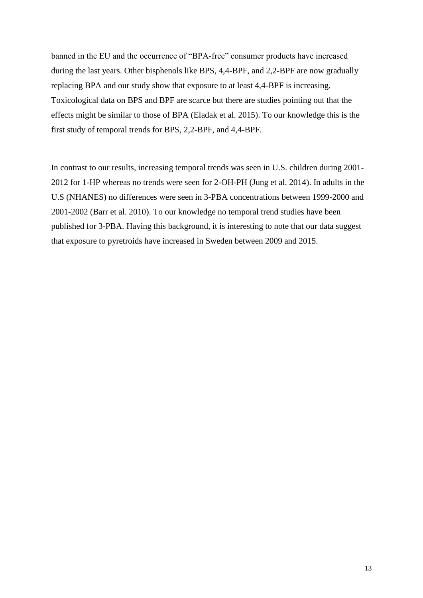banned in the EU and the occurrence of "BPA-free" consumer products have increased during the last years. Other bisphenols like BPS, 4,4-BPF, and 2,2-BPF are now gradually replacing BPA and our study show that exposure to at least 4,4-BPF is increasing. Toxicological data on BPS and BPF are scarce but there are studies pointing out that the effects might be similar to those of BPA [\(Eladak et al. 2015\)](#page-17-10). To our knowledge this is the first study of temporal trends for BPS, 2,2-BPF, and 4,4-BPF.

In contrast to our results, increasing temporal trends was seen in U.S. children during 2001- 2012 for 1-HP whereas no trends were seen for 2-OH-PH [\(Jung et al. 2014\)](#page-17-11). In adults in the U.S (NHANES) no differences were seen in 3-PBA concentrations between 1999-2000 and 2001-2002 [\(Barr et al. 2010\)](#page-16-10). To our knowledge no temporal trend studies have been published for 3-PBA. Having this background, it is interesting to note that our data suggest that exposure to pyretroids have increased in Sweden between 2009 and 2015.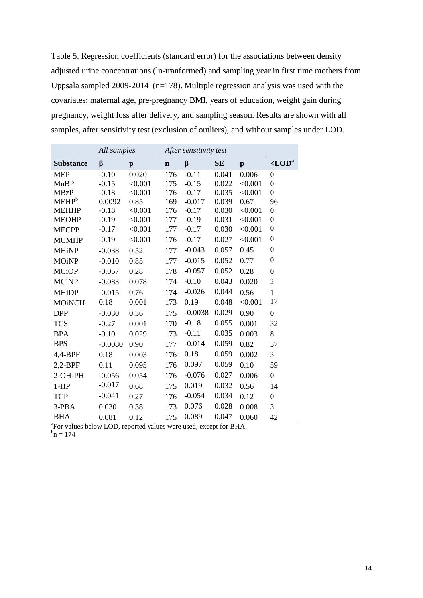Table 5. Regression coefficients (standard error) for the associations between density adjusted urine concentrations (ln-tranformed) and sampling year in first time mothers from Uppsala sampled 2009-2014 (n=178). Multiple regression analysis was used with the covariates: maternal age, pre-pregnancy BMI, years of education, weight gain during pregnancy, weight loss after delivery, and sampling season. Results are shown with all samples, after sensitivity test (exclusion of outliers), and without samples under LOD.

|                   | All samples |         | After sensitivity test |           |           |              |                      |
|-------------------|-------------|---------|------------------------|-----------|-----------|--------------|----------------------|
| <b>Substance</b>  | β           | p       | $\mathbf n$            | $\beta$   | <b>SE</b> | $\mathbf{p}$ | $<$ LOD <sup>a</sup> |
| <b>MEP</b>        | $-0.10$     | 0.020   | 176                    | $-0.11$   | 0.041     | 0.006        | $\overline{0}$       |
| <b>MnBP</b>       | $-0.15$     | < 0.001 | 175                    | $-0.15$   | 0.022     | < 0.001      | $\overline{0}$       |
| <b>MBzP</b>       | $-0.18$     | < 0.001 | 176                    | $-0.17$   | 0.035     | < 0.001      | $\overline{0}$       |
| MEHP <sup>b</sup> | 0.0092      | 0.85    | 169                    | $-0.017$  | 0.039     | 0.67         | 96                   |
| <b>MEHHP</b>      | $-0.18$     | < 0.001 | 176                    | $-0.17$   | 0.030     | < 0.001      | 0                    |
| <b>MEOHP</b>      | $-0.19$     | < 0.001 | 177                    | $-0.19$   | 0.031     | < 0.001      | $\overline{0}$       |
| <b>MECPP</b>      | $-0.17$     | < 0.001 | 177                    | $-0.17$   | 0.030     | < 0.001      | $\boldsymbol{0}$     |
| <b>MCMHP</b>      | $-0.19$     | < 0.001 | 176                    | $-0.17$   | 0.027     | < 0.001      | $\overline{0}$       |
| <b>MHiNP</b>      | $-0.038$    | 0.52    | 177                    | $-0.043$  | 0.057     | 0.45         | $\overline{0}$       |
| <b>MOiNP</b>      | $-0.010$    | 0.85    | 177                    | $-0.015$  | 0.052     | 0.77         | $\theta$             |
| <b>MCiOP</b>      | $-0.057$    | 0.28    | 178                    | $-0.057$  | 0.052     | 0.28         | $\overline{0}$       |
| <b>MCiNP</b>      | $-0.083$    | 0.078   | 174                    | $-0.10$   | 0.043     | 0.020        | $\overline{2}$       |
| <b>MHiDP</b>      | $-0.015$    | 0.76    | 174                    | $-0.026$  | 0.044     | 0.56         | $\mathbf{1}$         |
| <b>MOINCH</b>     | 0.18        | 0.001   | 173                    | 0.19      | 0.048     | < 0.001      | 17                   |
| <b>DPP</b>        | $-0.030$    | 0.36    | 175                    | $-0.0038$ | 0.029     | 0.90         | $\overline{0}$       |
| <b>TCS</b>        | $-0.27$     | 0.001   | 170                    | $-0.18$   | 0.055     | 0.001        | 32                   |
| <b>BPA</b>        | $-0.10$     | 0.029   | 173                    | $-0.11$   | 0.035     | 0.003        | 8                    |
| <b>BPS</b>        | $-0.0080$   | 0.90    | 177                    | $-0.014$  | 0.059     | 0.82         | 57                   |
| $4,4-BPF$         | 0.18        | 0.003   | 176                    | 0.18      | 0.059     | 0.002        | 3                    |
| $2,2-BPF$         | 0.11        | 0.095   | 176                    | 0.097     | 0.059     | 0.10         | 59                   |
| 2-OH-PH           | $-0.056$    | 0.054   | 176                    | $-0.076$  | 0.027     | 0.006        | $\overline{0}$       |
| $1-HP$            | $-0.017$    | 0.68    | 175                    | 0.019     | 0.032     | 0.56         | 14                   |
| <b>TCP</b>        | $-0.041$    | 0.27    | 176                    | $-0.054$  | 0.034     | 0.12         | $\overline{0}$       |
| $3-PBA$           | 0.030       | 0.38    | 173                    | 0.076     | 0.028     | 0.008        | 3                    |
| <b>BHA</b>        | 0.081       | 0.12    | 175                    | 0.089     | 0.047     | 0.060        | 42                   |

<sup>a</sup>For values below LOD, reported values were used, except for BHA.<br> $b_n = 174$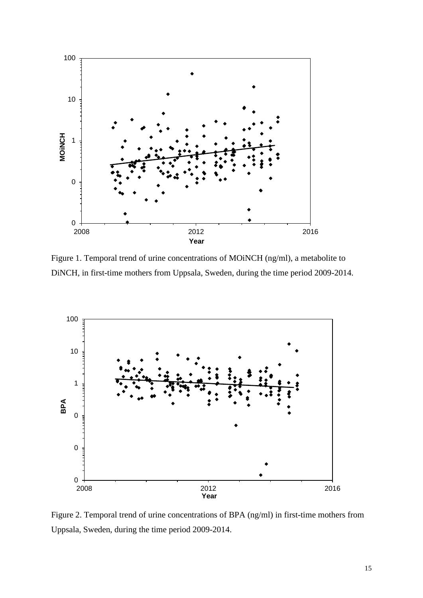

Figure 1. Temporal trend of urine concentrations of MOiNCH (ng/ml), a metabolite to DiNCH, in first-time mothers from Uppsala, Sweden, during the time period 2009-2014.



Figure 2. Temporal trend of urine concentrations of BPA (ng/ml) in first-time mothers from Uppsala, Sweden, during the time period 2009-2014.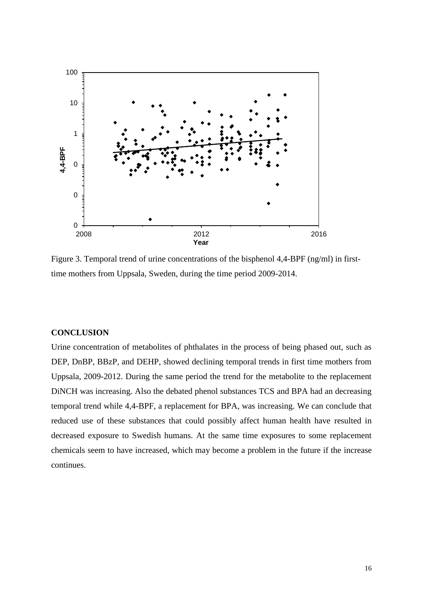

Figure 3. Temporal trend of urine concentrations of the bisphenol 4,4-BPF (ng/ml) in firsttime mothers from Uppsala, Sweden, during the time period 2009-2014.

# **CONCLUSION**

Urine concentration of metabolites of phthalates in the process of being phased out, such as DEP, DnBP, BBzP, and DEHP, showed declining temporal trends in first time mothers from Uppsala, 2009-2012. During the same period the trend for the metabolite to the replacement DiNCH was increasing. Also the debated phenol substances TCS and BPA had an decreasing temporal trend while 4,4-BPF, a replacement for BPA, was increasing. We can conclude that reduced use of these substances that could possibly affect human health have resulted in decreased exposure to Swedish humans. At the same time exposures to some replacement chemicals seem to have increased, which may become a problem in the future if the increase continues.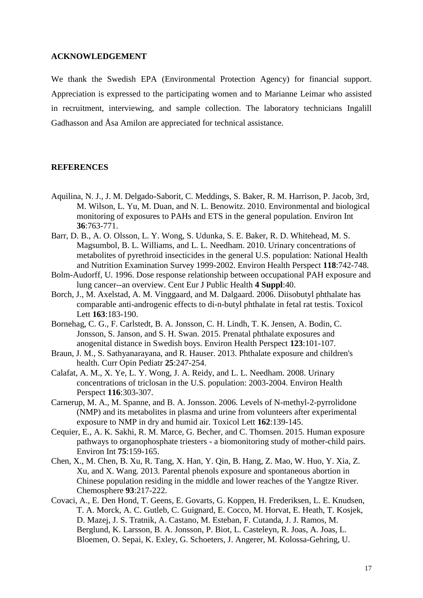#### **ACKNOWLEDGEMENT**

We thank the Swedish EPA (Environmental Protection Agency) for financial support. Appreciation is expressed to the participating women and to Marianne Leimar who assisted in recruitment, interviewing, and sample collection. The laboratory technicians Ingalill Gadhasson and Åsa Amilon are appreciated for technical assistance.

### **REFERENCES**

- <span id="page-16-9"></span>Aquilina, N. J., J. M. Delgado-Saborit, C. Meddings, S. Baker, R. M. Harrison, P. Jacob, 3rd, M. Wilson, L. Yu, M. Duan, and N. L. Benowitz. 2010. Environmental and biological monitoring of exposures to PAHs and ETS in the general population. Environ Int **36**:763-771.
- <span id="page-16-10"></span>Barr, D. B., A. O. Olsson, L. Y. Wong, S. Udunka, S. E. Baker, R. D. Whitehead, M. S. Magsumbol, B. L. Williams, and L. L. Needham. 2010. Urinary concentrations of metabolites of pyrethroid insecticides in the general U.S. population: National Health and Nutrition Examination Survey 1999-2002. Environ Health Perspect **118**:742-748.
- <span id="page-16-8"></span>Bolm-Audorff, U. 1996. Dose response relationship between occupational PAH exposure and lung cancer--an overview. Cent Eur J Public Health **4 Suppl**:40.
- <span id="page-16-0"></span>Borch, J., M. Axelstad, A. M. Vinggaard, and M. Dalgaard. 2006. Diisobutyl phthalate has comparable anti-androgenic effects to di-n-butyl phthalate in fetal rat testis. Toxicol Lett **163**:183-190.
- <span id="page-16-3"></span>Bornehag, C. G., F. Carlstedt, B. A. Jonsson, C. H. Lindh, T. K. Jensen, A. Bodin, C. Jonsson, S. Janson, and S. H. Swan. 2015. Prenatal phthalate exposures and anogenital distance in Swedish boys. Environ Health Perspect **123**:101-107.
- <span id="page-16-1"></span>Braun, J. M., S. Sathyanarayana, and R. Hauser. 2013. Phthalate exposure and children's health. Curr Opin Pediatr **25**:247-254.
- <span id="page-16-6"></span>Calafat, A. M., X. Ye, L. Y. Wong, J. A. Reidy, and L. L. Needham. 2008. Urinary concentrations of triclosan in the U.S. population: 2003-2004. Environ Health Perspect **116**:303-307.
- <span id="page-16-4"></span>Carnerup, M. A., M. Spanne, and B. A. Jonsson. 2006. Levels of N-methyl-2-pyrrolidone (NMP) and its metabolites in plasma and urine from volunteers after experimental exposure to NMP in dry and humid air. Toxicol Lett **162**:139-145.
- <span id="page-16-5"></span>Cequier, E., A. K. Sakhi, R. M. Marce, G. Becher, and C. Thomsen. 2015. Human exposure pathways to organophosphate triesters - a biomonitoring study of mother-child pairs. Environ Int **75**:159-165.
- <span id="page-16-2"></span>Chen, X., M. Chen, B. Xu, R. Tang, X. Han, Y. Qin, B. Hang, Z. Mao, W. Huo, Y. Xia, Z. Xu, and X. Wang. 2013. Parental phenols exposure and spontaneous abortion in Chinese population residing in the middle and lower reaches of the Yangtze River. Chemosphere **93**:217-222.
- <span id="page-16-7"></span>Covaci, A., E. Den Hond, T. Geens, E. Govarts, G. Koppen, H. Frederiksen, L. E. Knudsen, T. A. Morck, A. C. Gutleb, C. Guignard, E. Cocco, M. Horvat, E. Heath, T. Kosjek, D. Mazej, J. S. Tratnik, A. Castano, M. Esteban, F. Cutanda, J. J. Ramos, M. Berglund, K. Larsson, B. A. Jonsson, P. Biot, L. Casteleyn, R. Joas, A. Joas, L. Bloemen, O. Sepai, K. Exley, G. Schoeters, J. Angerer, M. Kolossa-Gehring, U.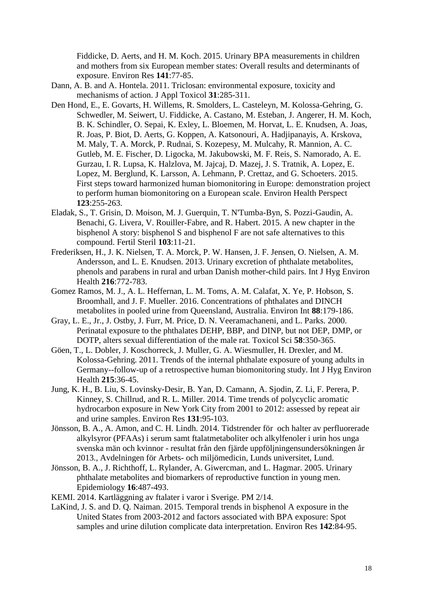Fiddicke, D. Aerts, and H. M. Koch. 2015. Urinary BPA measurements in children and mothers from six European member states: Overall results and determinants of exposure. Environ Res **141**:77-85.

- <span id="page-17-1"></span>Dann, A. B. and A. Hontela. 2011. Triclosan: environmental exposure, toxicity and mechanisms of action. J Appl Toxicol **31**:285-311.
- <span id="page-17-5"></span>Den Hond, E., E. Govarts, H. Willems, R. Smolders, L. Casteleyn, M. Kolossa-Gehring, G. Schwedler, M. Seiwert, U. Fiddicke, A. Castano, M. Esteban, J. Angerer, H. M. Koch, B. K. Schindler, O. Sepai, K. Exley, L. Bloemen, M. Horvat, L. E. Knudsen, A. Joas, R. Joas, P. Biot, D. Aerts, G. Koppen, A. Katsonouri, A. Hadjipanayis, A. Krskova, M. Maly, T. A. Morck, P. Rudnai, S. Kozepesy, M. Mulcahy, R. Mannion, A. C. Gutleb, M. E. Fischer, D. Ligocka, M. Jakubowski, M. F. Reis, S. Namorado, A. E. Gurzau, I. R. Lupsa, K. Halzlova, M. Jajcaj, D. Mazej, J. S. Tratnik, A. Lopez, E. Lopez, M. Berglund, K. Larsson, A. Lehmann, P. Crettaz, and G. Schoeters. 2015. First steps toward harmonized human biomonitoring in Europe: demonstration project to perform human biomonitoring on a European scale. Environ Health Perspect **123**:255-263.
- <span id="page-17-10"></span>Eladak, S., T. Grisin, D. Moison, M. J. Guerquin, T. N'Tumba-Byn, S. Pozzi-Gaudin, A. Benachi, G. Livera, V. Rouiller-Fabre, and R. Habert. 2015. A new chapter in the bisphenol A story: bisphenol S and bisphenol F are not safe alternatives to this compound. Fertil Steril **103**:11-21.
- <span id="page-17-6"></span>Frederiksen, H., J. K. Nielsen, T. A. Morck, P. W. Hansen, J. F. Jensen, O. Nielsen, A. M. Andersson, and L. E. Knudsen. 2013. Urinary excretion of phthalate metabolites, phenols and parabens in rural and urban Danish mother-child pairs. Int J Hyg Environ Health **216**:772-783.
- <span id="page-17-3"></span>Gomez Ramos, M. J., A. L. Heffernan, L. M. Toms, A. M. Calafat, X. Ye, P. Hobson, S. Broomhall, and J. F. Mueller. 2016. Concentrations of phthalates and DINCH metabolites in pooled urine from Queensland, Australia. Environ Int **88**:179-186.
- <span id="page-17-0"></span>Gray, L. E., Jr., J. Ostby, J. Furr, M. Price, D. N. Veeramachaneni, and L. Parks. 2000. Perinatal exposure to the phthalates DEHP, BBP, and DINP, but not DEP, DMP, or DOTP, alters sexual differentiation of the male rat. Toxicol Sci **58**:350-365.
- <span id="page-17-9"></span>Göen, T., L. Dobler, J. Koschorreck, J. Muller, G. A. Wiesmuller, H. Drexler, and M. Kolossa-Gehring. 2011. Trends of the internal phthalate exposure of young adults in Germany--follow-up of a retrospective human biomonitoring study. Int J Hyg Environ Health **215**:36-45.
- <span id="page-17-11"></span>Jung, K. H., B. Liu, S. Lovinsky-Desir, B. Yan, D. Camann, A. Sjodin, Z. Li, F. Perera, P. Kinney, S. Chillrud, and R. L. Miller. 2014. Time trends of polycyclic aromatic hydrocarbon exposure in New York City from 2001 to 2012: assessed by repeat air and urine samples. Environ Res **131**:95-103.
- <span id="page-17-4"></span>Jönsson, B. A., A. Amon, and C. H. Lindh. 2014. Tidstrender för och halter av perfluorerade alkylsyror (PFAAs) i serum samt ftalatmetaboliter och alkylfenoler i urin hos unga svenska män och kvinnor - resultat från den fjärde uppföljningensundersökningen år 2013., Avdelningen för Arbets- och miljömedicin, Lunds universitet, Lund.
- <span id="page-17-2"></span>Jönsson, B. A., J. Richthoff, L. Rylander, A. Giwercman, and L. Hagmar. 2005. Urinary phthalate metabolites and biomarkers of reproductive function in young men. Epidemiology **16**:487-493.
- <span id="page-17-8"></span>KEMI. 2014. Kartläggning av ftalater i varor i Sverige. PM 2/14.
- <span id="page-17-7"></span>LaKind, J. S. and D. Q. Naiman. 2015. Temporal trends in bisphenol A exposure in the United States from 2003-2012 and factors associated with BPA exposure: Spot samples and urine dilution complicate data interpretation. Environ Res **142**:84-95.